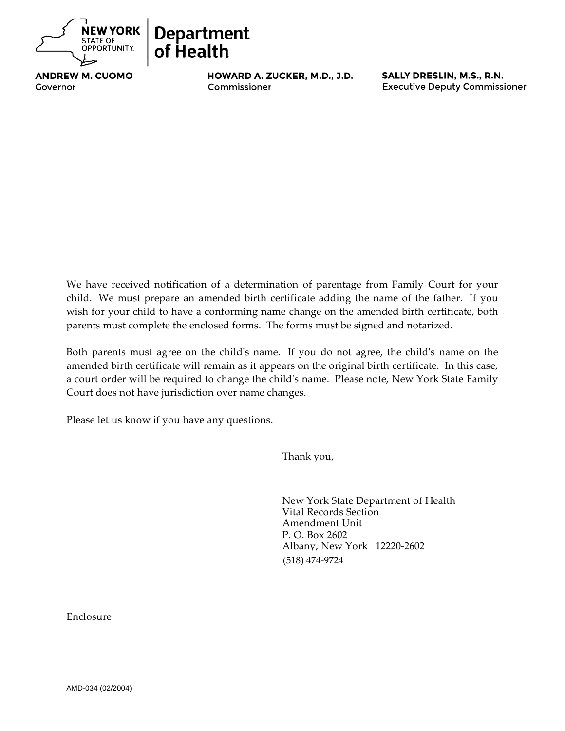

## **NEW YORK Department** of Health

**ANDREW M. CUOMO** Antonia C. Novello, M.D., M.P.H., Dr. P.H.

HOWARD A. ZUCKER, M.D., J.D. SALLY DRESLIN, M.S., R.N.<br>Commissioner Executive Deputy Commissioner Commissioner and the commissioner and the commissioner and the commissioner commissioner commissioner commissioner commissioner commissioner commissioner commissioner commissioner commissioner commissioner commissioner com

We have received notification of a determination of parentage from Family Court for your child. We must prepare an amended birth certificate adding the name of the father. If you wish for your child to have a conforming name change on the amended birth certificate, both parents must complete the enclosed forms. The forms must be signed and notarized.

Both parents must agree on the child's name. If you do not agree, the child's name on the amended birth certificate will remain as it appears on the original birth certificate. In this case, a court order will be required to change the child's name. Please note, New York State Family Court does not have jurisdiction over name changes.

Please let us know if you have any questions.

Thank you,

New York State Department of Health Vital Records Section Amendment Unit P. O. Box 2602 Albany, New York 12220-2602 (518) 474-9724

Enclosure